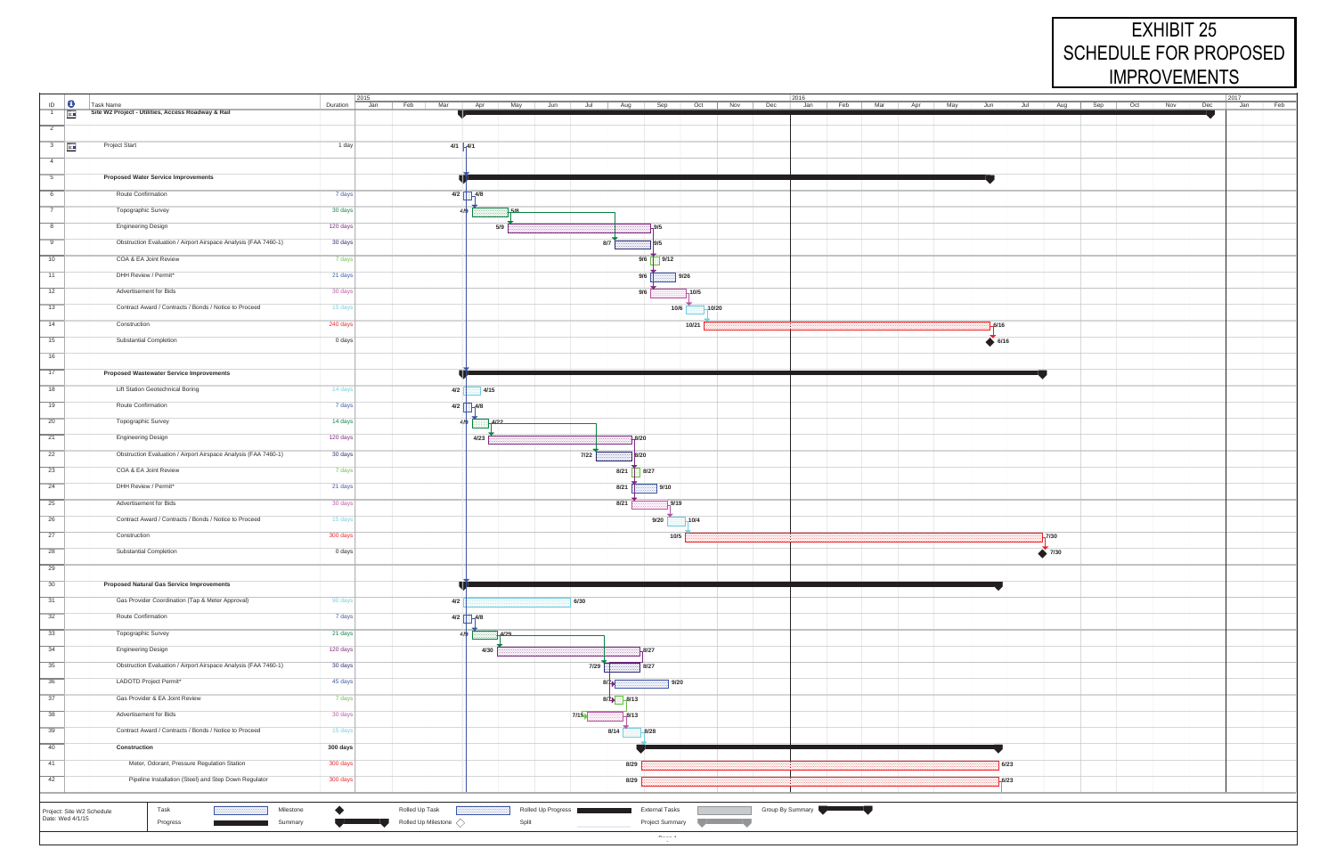| $\boxed{2015}$<br>$ 2016\rangle$ |                                                                 |                 |                        |              |                                                                                                                                                                                                                                      |                                                         | $ 2017\rangle$                                                                                                                                                                                                                       |                  |         |                    |  |            |
|----------------------------------|-----------------------------------------------------------------|-----------------|------------------------|--------------|--------------------------------------------------------------------------------------------------------------------------------------------------------------------------------------------------------------------------------------|---------------------------------------------------------|--------------------------------------------------------------------------------------------------------------------------------------------------------------------------------------------------------------------------------------|------------------|---------|--------------------|--|------------|
| $\mathbb{D}$ 0                   | Task Name<br>Site W2 Project - Utilities, Access Roadway & Rail | Duration<br>Jan | Feb   Mar              |              | Apr   May   Jun   Jul   Aug   Sep   Oct   Nov   Dec   Jan   Feb   Mar   Apr   May   Jun   Jul   Aug   Sep   Oct   Nov   Dec                                                                                                          |                                                         |                                                                                                                                                                                                                                      |                  |         |                    |  | Feb<br>Jan |
| $\frac{1}{\sqrt{2}}$             |                                                                 |                 |                        |              |                                                                                                                                                                                                                                      |                                                         |                                                                                                                                                                                                                                      |                  |         |                    |  |            |
| $\overline{2}$                   |                                                                 |                 |                        |              |                                                                                                                                                                                                                                      |                                                         |                                                                                                                                                                                                                                      |                  |         |                    |  |            |
| $\frac{1}{3}$                    | <b>Project Start</b>                                            | $1$ day         |                        | $4/1$ $-4/1$ |                                                                                                                                                                                                                                      |                                                         |                                                                                                                                                                                                                                      |                  |         |                    |  |            |
| $-4$                             |                                                                 |                 |                        |              |                                                                                                                                                                                                                                      |                                                         |                                                                                                                                                                                                                                      |                  |         |                    |  |            |
|                                  |                                                                 |                 |                        |              |                                                                                                                                                                                                                                      |                                                         |                                                                                                                                                                                                                                      |                  |         |                    |  |            |
| $\overline{5}$                   | <b>Proposed Water Service Improvements</b>                      |                 |                        |              |                                                                                                                                                                                                                                      |                                                         |                                                                                                                                                                                                                                      |                  |         |                    |  |            |
| 6                                | Route Confirmation                                              | 7 days          |                        | $4/2$ $4/8$  |                                                                                                                                                                                                                                      |                                                         |                                                                                                                                                                                                                                      |                  |         |                    |  |            |
| $\overline{7}$                   | Topographic Survey                                              | 30 days         |                        | ŁΚ           | 75/8                                                                                                                                                                                                                                 |                                                         |                                                                                                                                                                                                                                      |                  |         |                    |  |            |
|                                  |                                                                 |                 |                        |              |                                                                                                                                                                                                                                      |                                                         |                                                                                                                                                                                                                                      |                  |         |                    |  |            |
| 8                                | <b>Engineering Design</b>                                       | 120 days        |                        |              | 5/9                                                                                                                                                                                                                                  | `  9/5                                                  |                                                                                                                                                                                                                                      |                  |         |                    |  |            |
| 9                                | Obstruction Evaluation / Airport Airspace Analysis (FAA 7460-1) | 30 days         |                        |              |                                                                                                                                                                                                                                      | 8/7<br>9/5                                              |                                                                                                                                                                                                                                      |                  |         |                    |  |            |
| 10                               | COA & EA Joint Review                                           | 7 days          |                        |              |                                                                                                                                                                                                                                      | 9/12<br>9/6                                             |                                                                                                                                                                                                                                      |                  |         |                    |  |            |
| $\overline{11}$                  | DHH Review / Permit*                                            |                 |                        |              |                                                                                                                                                                                                                                      |                                                         |                                                                                                                                                                                                                                      |                  |         |                    |  |            |
|                                  |                                                                 | 21 days         |                        |              |                                                                                                                                                                                                                                      | 9/6                                                     | 9/26                                                                                                                                                                                                                                 |                  |         |                    |  |            |
| 12                               | Advertisement for Bids                                          | 30 days         |                        |              |                                                                                                                                                                                                                                      | 9/6                                                     | $-10/5$                                                                                                                                                                                                                              |                  |         |                    |  |            |
| 13                               | Contract Award / Contracts / Bonds / Notice to Proceed          | 15 days         |                        |              |                                                                                                                                                                                                                                      | 10/6                                                    | $-10/20$                                                                                                                                                                                                                             |                  |         |                    |  |            |
| 14                               | Construction                                                    | 240 days        |                        |              |                                                                                                                                                                                                                                      |                                                         | 10/21                                                                                                                                                                                                                                |                  | $-6/16$ |                    |  |            |
|                                  |                                                                 |                 |                        |              |                                                                                                                                                                                                                                      |                                                         |                                                                                                                                                                                                                                      |                  |         |                    |  |            |
| 15                               | Substantial Completion                                          | 0 days          |                        |              |                                                                                                                                                                                                                                      |                                                         |                                                                                                                                                                                                                                      |                  | 6/16    |                    |  |            |
| 16                               |                                                                 |                 |                        |              |                                                                                                                                                                                                                                      |                                                         |                                                                                                                                                                                                                                      |                  |         |                    |  |            |
| 17                               | <b>Proposed Wastewater Service Improvements</b>                 |                 |                        |              |                                                                                                                                                                                                                                      |                                                         |                                                                                                                                                                                                                                      |                  |         |                    |  |            |
| 18                               | Lift Station Geotechnical Boring                                | 14 days         |                        |              |                                                                                                                                                                                                                                      |                                                         |                                                                                                                                                                                                                                      |                  |         |                    |  |            |
|                                  |                                                                 |                 | 4/2                    | 4/15         |                                                                                                                                                                                                                                      |                                                         |                                                                                                                                                                                                                                      |                  |         |                    |  |            |
| 19                               | Route Confirmation                                              | 7 days          |                        | $4/2$ $-4/8$ |                                                                                                                                                                                                                                      |                                                         |                                                                                                                                                                                                                                      |                  |         |                    |  |            |
| $\overline{20}$                  | Topographic Survey                                              | 14 days         |                        | 419          | $-4/22$                                                                                                                                                                                                                              |                                                         |                                                                                                                                                                                                                                      |                  |         |                    |  |            |
| $\overline{21}$                  | <b>Engineering Design</b>                                       | 120 days        |                        | 4/23         |                                                                                                                                                                                                                                      | $-8/20$                                                 |                                                                                                                                                                                                                                      |                  |         |                    |  |            |
| $\overline{22}$                  | Obstruction Evaluation / Airport Airspace Analysis (FAA 7460-1) | 30 days         |                        |              |                                                                                                                                                                                                                                      |                                                         |                                                                                                                                                                                                                                      |                  |         |                    |  |            |
|                                  |                                                                 |                 |                        |              | 7/22                                                                                                                                                                                                                                 | 8/20                                                    |                                                                                                                                                                                                                                      |                  |         |                    |  |            |
| 23                               | COA & EA Joint Review                                           | 7 days          |                        |              |                                                                                                                                                                                                                                      | 8/21<br>8/27                                            |                                                                                                                                                                                                                                      |                  |         |                    |  |            |
| $\overline{24}$                  | DHH Review / Permit*                                            | 21 days         |                        |              |                                                                                                                                                                                                                                      | 8/21<br>$\vert$ 9/10                                    |                                                                                                                                                                                                                                      |                  |         |                    |  |            |
| 25                               | Advertisement for Bids                                          | 30 days         |                        |              |                                                                                                                                                                                                                                      | 8/21<br>$-9/19$                                         |                                                                                                                                                                                                                                      |                  |         |                    |  |            |
|                                  | Contract Award / Contracts / Bonds / Notice to Proceed          |                 |                        |              |                                                                                                                                                                                                                                      |                                                         |                                                                                                                                                                                                                                      |                  |         |                    |  |            |
| 26                               |                                                                 | 15 days         |                        |              |                                                                                                                                                                                                                                      | 9/20                                                    | $-10/4$                                                                                                                                                                                                                              |                  |         |                    |  |            |
| 27                               | Construction                                                    | 300 days        |                        |              |                                                                                                                                                                                                                                      | 10/5                                                    |                                                                                                                                                                                                                                      |                  |         | 7/30               |  |            |
| $\overline{28}$                  | <b>Substantial Completion</b>                                   | 0 days          |                        |              |                                                                                                                                                                                                                                      |                                                         |                                                                                                                                                                                                                                      |                  |         | $\rightarrow$ 7/30 |  |            |
| $\overline{29}$                  |                                                                 |                 |                        |              |                                                                                                                                                                                                                                      |                                                         |                                                                                                                                                                                                                                      |                  |         |                    |  |            |
|                                  | <b>Proposed Natural Gas Service Improvements</b>                |                 |                        |              |                                                                                                                                                                                                                                      |                                                         |                                                                                                                                                                                                                                      |                  |         |                    |  |            |
| 30                               |                                                                 |                 |                        |              |                                                                                                                                                                                                                                      |                                                         |                                                                                                                                                                                                                                      |                  |         |                    |  |            |
| 31                               | Gas Provider Coordination (Tap & Meter Approval)                | 90 days         | 4/2                    |              | 6/30                                                                                                                                                                                                                                 |                                                         |                                                                                                                                                                                                                                      |                  |         |                    |  |            |
| 32                               | Route Confirmation                                              | 7 days          |                        | $4/2$ $-4/8$ |                                                                                                                                                                                                                                      |                                                         |                                                                                                                                                                                                                                      |                  |         |                    |  |            |
| 33                               | Topographic Survey                                              | 21 days         |                        | $\angle$ /9  | 4/29                                                                                                                                                                                                                                 |                                                         |                                                                                                                                                                                                                                      |                  |         |                    |  |            |
| 34                               |                                                                 | 120 days        |                        |              |                                                                                                                                                                                                                                      |                                                         |                                                                                                                                                                                                                                      |                  |         |                    |  |            |
|                                  | <b>Engineering Design</b>                                       |                 |                        | 4/30         |                                                                                                                                                                                                                                      | $-8/27$                                                 |                                                                                                                                                                                                                                      |                  |         |                    |  |            |
| 35                               | Obstruction Evaluation / Airport Airspace Analysis (FAA 7460-1) | 30 days         |                        |              | 7/29                                                                                                                                                                                                                                 | 8/27                                                    |                                                                                                                                                                                                                                      |                  |         |                    |  |            |
| 36                               | LADOTD Project Permit*                                          | 45 days         |                        |              |                                                                                                                                                                                                                                      | 9/20<br>8/7                                             |                                                                                                                                                                                                                                      |                  |         |                    |  |            |
| 37                               | Gas Provider & EA Joint Review                                  | 7 days          |                        |              |                                                                                                                                                                                                                                      | $8/7$ $-8/13$                                           |                                                                                                                                                                                                                                      |                  |         |                    |  |            |
| 38                               | Advertisement for Bids                                          |                 |                        |              |                                                                                                                                                                                                                                      |                                                         |                                                                                                                                                                                                                                      |                  |         |                    |  |            |
|                                  |                                                                 | 30 days         |                        |              | 7/15                                                                                                                                                                                                                                 | $-8/13$                                                 |                                                                                                                                                                                                                                      |                  |         |                    |  |            |
| 39                               | Contract Award / Contracts / Bonds / Notice to Proceed          | 15 days         |                        |              |                                                                                                                                                                                                                                      | 8/14<br>$-8/28$                                         |                                                                                                                                                                                                                                      |                  |         |                    |  |            |
| 40                               | Construction                                                    | 300 days        |                        |              |                                                                                                                                                                                                                                      |                                                         |                                                                                                                                                                                                                                      |                  |         |                    |  |            |
| 41                               | Meter, Odorant, Pressure Regulation Station                     | 300 days        |                        |              |                                                                                                                                                                                                                                      | 8/29                                                    |                                                                                                                                                                                                                                      |                  | 6/23    |                    |  |            |
| 42                               | Pipeline Installation (Steel) and Step Down Regulator           | 300 days        |                        |              |                                                                                                                                                                                                                                      |                                                         |                                                                                                                                                                                                                                      |                  |         |                    |  |            |
|                                  |                                                                 |                 |                        |              |                                                                                                                                                                                                                                      | 8/29                                                    |                                                                                                                                                                                                                                      |                  | $-6/23$ |                    |  |            |
|                                  |                                                                 |                 |                        |              |                                                                                                                                                                                                                                      |                                                         |                                                                                                                                                                                                                                      |                  |         |                    |  |            |
|                                  | Task<br>Milestone<br>Project: Site W2 Schedule                  | $\bullet$       | Rolled Up Task         |              | Rolled Up Progress <b>Contract Contract Contract Contract Contract Contract Contract Contract Contract Contract Contract Contract Contract Contract Contract Contract Contract Contract Contract Contract Contract Contract Cont</b> |                                                         |                                                                                                                                                                                                                                      | Group By Summary |         |                    |  |            |
|                                  | Date: Wed 4/1/15<br>Progress<br>Summary                         |                 | Rolled Up Milestone <> |              | Split                                                                                                                                                                                                                                | <b>Project Summary</b>                                  | <u>the community of the community of the community of the community of the community of the community of the community of the community of the community of the community of the community of the community of the community of </u> |                  |         |                    |  |            |
|                                  |                                                                 |                 |                        |              |                                                                                                                                                                                                                                      | $\mathbf{m}_{\text{max}}$ and $\mathbf{m}_{\text{max}}$ |                                                                                                                                                                                                                                      |                  |         |                    |  |            |
|                                  |                                                                 |                 |                        |              |                                                                                                                                                                                                                                      |                                                         |                                                                                                                                                                                                                                      |                  |         |                    |  |            |

## EXHIBIT 25 SCHEDULE FOR PROPOSED IMPROVEMENTS